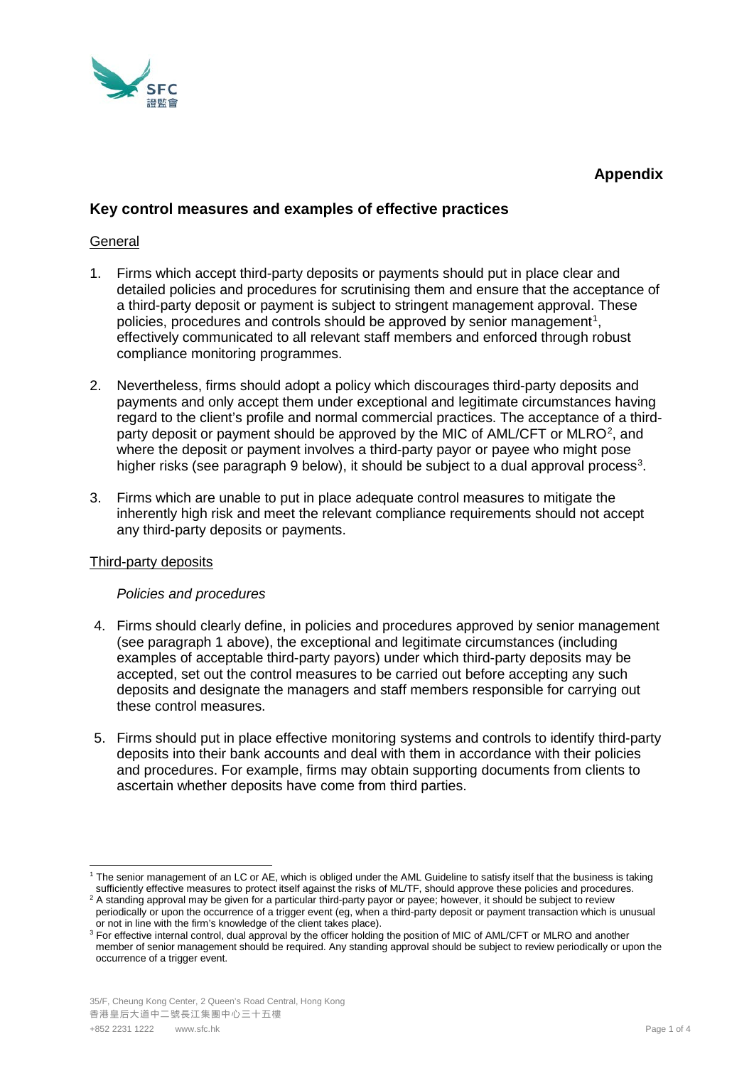

# **Appendix**

# **Key control measures and examples of effective practices**

# **General**

- 1. Firms which accept third-party deposits or payments should put in place clear and detailed policies and procedures for scrutinising them and ensure that the acceptance of a third-party deposit or payment is subject to stringent management approval. These policies, procedures and controls should be approved by senior management<sup>[1](#page-0-0)</sup>, effectively communicated to all relevant staff members and enforced through robust compliance monitoring programmes.
- 2. Nevertheless, firms should adopt a policy which discourages third-party deposits and payments and only accept them under exceptional and legitimate circumstances having regard to the client's profile and normal commercial practices. The acceptance of a third-party deposit or payment should be approved by the MIC of AML/CFT or MLRO<sup>[2](#page-0-1)</sup>, and where the deposit or payment involves a third-party payor or payee who might pose higher risks (see paragraph 9 below), it should be subject to a dual approval process<sup>[3](#page-0-2)</sup>.
- 3. Firms which are unable to put in place adequate control measures to mitigate the inherently high risk and meet the relevant compliance requirements should not accept any third-party deposits or payments.

# Third-party deposits

# *Policies and procedures*

- 4. Firms should clearly define, in policies and procedures approved by senior management (see paragraph 1 above), the exceptional and legitimate circumstances (including examples of acceptable third-party payors) under which third-party deposits may be accepted, set out the control measures to be carried out before accepting any such deposits and designate the managers and staff members responsible for carrying out these control measures.
- 5. Firms should put in place effective monitoring systems and controls to identify third-party deposits into their bank accounts and deal with them in accordance with their policies and procedures. For example, firms may obtain supporting documents from clients to ascertain whether deposits have come from third parties.

<span id="page-0-0"></span> <sup>1</sup> The senior management of an LC or AE, which is obliged under the AML Guideline to satisfy itself that the business is taking sufficiently effective measures to protect itself against the risks of ML/TF, should approve these policies and procedures.

<span id="page-0-1"></span><sup>&</sup>lt;sup>2</sup> A standing approval may be given for a particular third-party payor or payee; however, it should be subject to review periodically or upon the occurrence of a trigger event (eg, when a third-party deposit or payment transaction which is unusual or not in line with the firm's knowledge of the client takes place).

<span id="page-0-2"></span><sup>&</sup>lt;sup>3</sup> For effective internal control, dual approval by the officer holding the position of MIC of AML/CFT or MLRO and another member of senior management should be required. Any standing approval should be subject to review periodically or upon the occurrence of a trigger event.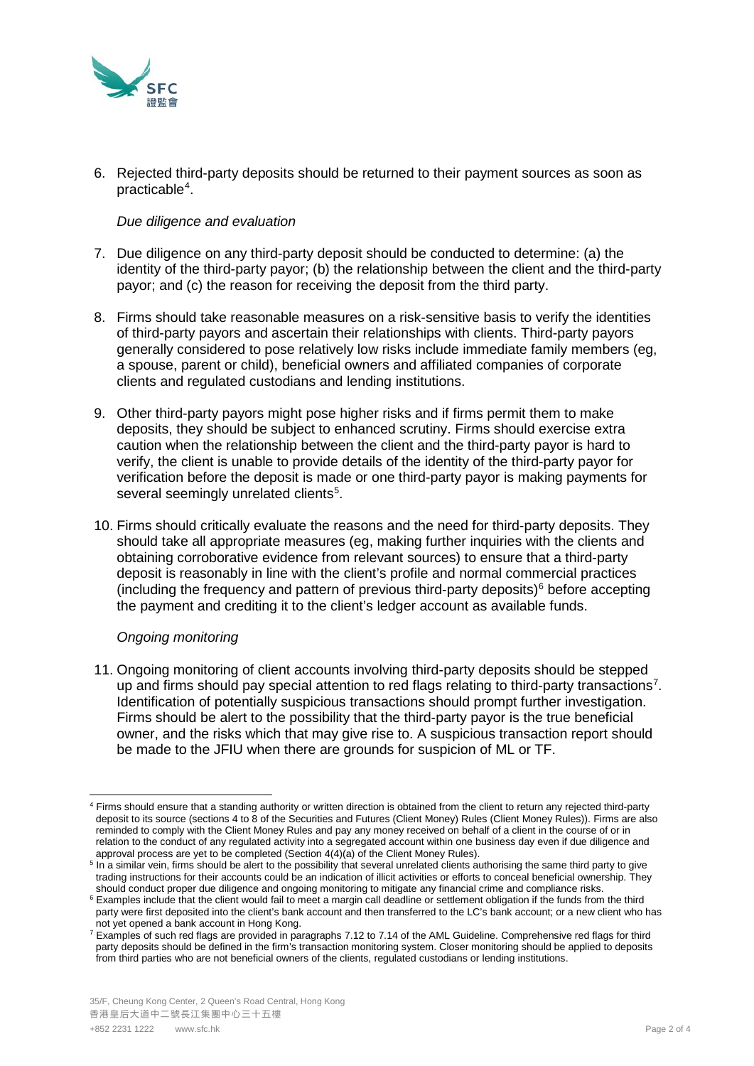

6. Rejected third-party deposits should be returned to their payment sources as soon as practicable<sup>[4](#page-1-0)</sup>.

#### *Due diligence and evaluation*

- 7. Due diligence on any third-party deposit should be conducted to determine: (a) the identity of the third-party payor; (b) the relationship between the client and the third-party payor; and (c) the reason for receiving the deposit from the third party.
- 8. Firms should take reasonable measures on a risk-sensitive basis to verify the identities of third-party payors and ascertain their relationships with clients. Third-party payors generally considered to pose relatively low risks include immediate family members (eg, a spouse, parent or child), beneficial owners and affiliated companies of corporate clients and regulated custodians and lending institutions.
- 9. Other third-party payors might pose higher risks and if firms permit them to make deposits, they should be subject to enhanced scrutiny. Firms should exercise extra caution when the relationship between the client and the third-party payor is hard to verify, the client is unable to provide details of the identity of the third-party payor for verification before the deposit is made or one third-party payor is making payments for several seemingly unrelated clients<sup>[5](#page-1-1)</sup>.
- 10. Firms should critically evaluate the reasons and the need for third-party deposits. They should take all appropriate measures (eg, making further inquiries with the clients and obtaining corroborative evidence from relevant sources) to ensure that a third-party deposit is reasonably in line with the client's profile and normal commercial practices (including the frequency and pattern of previous third-party deposits) $<sup>6</sup>$  $<sup>6</sup>$  $<sup>6</sup>$  before accepting</sup> the payment and crediting it to the client's ledger account as available funds.

# *Ongoing monitoring*

11. Ongoing monitoring of client accounts involving third-party deposits should be stepped up and firms should pay special attention to red flags relating to third-party transactions<sup>[7](#page-1-3)</sup>. Identification of potentially suspicious transactions should prompt further investigation. Firms should be alert to the possibility that the third-party payor is the true beneficial owner, and the risks which that may give rise to. A suspicious transaction report should be made to the JFIU when there are grounds for suspicion of ML or TF.

<span id="page-1-0"></span><sup>4</sup> Firms should ensure that a standing authority or written direction is obtained from the client to return any rejected third-party deposit to its source (sections 4 to 8 of the Securities and Futures (Client Money) Rules (Client Money Rules)). Firms are also reminded to comply with the Client Money Rules and pay any money received on behalf of a client in the course of or in relation to the conduct of any regulated activity into a segregated account within one business day even if due diligence and approval process are yet to be completed (Section 4(4)(a) of the Client Money Rules).

<span id="page-1-1"></span><sup>&</sup>lt;sup>5</sup> In a similar vein, firms should be alert to the possibility that several unrelated clients authorising the same third party to give trading instructions for their accounts could be an indication of illicit activities or efforts to conceal beneficial ownership. They should conduct proper due diligence and ongoing monitoring to mitigate any financial cri

<span id="page-1-2"></span><sup>&</sup>lt;sup>6</sup> Examples include that the client would fail to meet a margin call deadline or settlement obligation if the funds from the third party were first deposited into the client's bank account and then transferred to the LC's bank account; or a new client who has not yet opened a bank account in Hong Kong.

<span id="page-1-3"></span> $\frac{7}{1}$  Examples of such red flags are provided in paragraphs 7.12 to 7.14 of the AML Guideline. Comprehensive red flags for third party deposits should be defined in the firm's transaction monitoring system. Closer monitoring should be applied to deposits from third parties who are not beneficial owners of the clients, regulated custodians or lending institutions.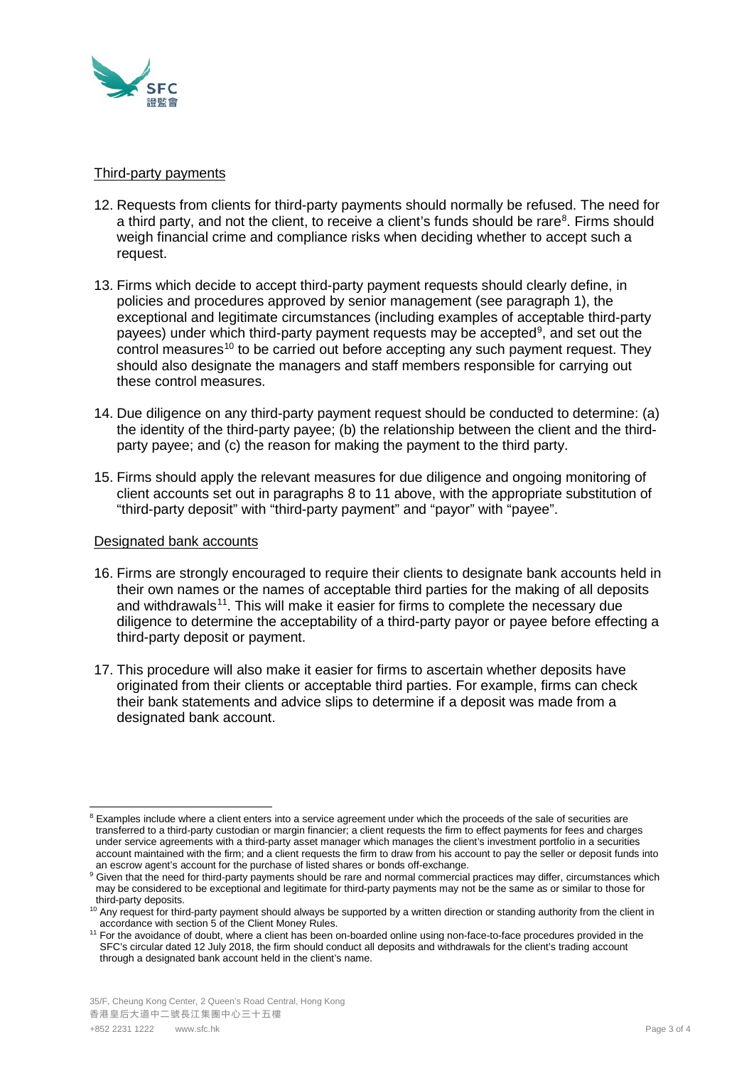

#### Third-party payments

- 12. Requests from clients for third-party payments should normally be refused. The need for a third party, and not the client, to receive a client's funds should be rare<sup>[8](#page-2-0)</sup>. Firms should weigh financial crime and compliance risks when deciding whether to accept such a request.
- 13. Firms which decide to accept third-party payment requests should clearly define, in policies and procedures approved by senior management (see paragraph 1), the exceptional and legitimate circumstances (including examples of acceptable third-party payees) under which third-party payment requests may be accepted<sup>[9](#page-2-1)</sup>, and set out the control measures<sup>[10](#page-2-2)</sup> to be carried out before accepting any such payment request. They should also designate the managers and staff members responsible for carrying out these control measures.
- 14. Due diligence on any third-party payment request should be conducted to determine: (a) the identity of the third-party payee; (b) the relationship between the client and the thirdparty payee; and (c) the reason for making the payment to the third party.
- 15. Firms should apply the relevant measures for due diligence and ongoing monitoring of client accounts set out in paragraphs 8 to 11 above, with the appropriate substitution of "third-party deposit" with "third-party payment" and "payor" with "payee".

# Designated bank accounts

- 16. Firms are strongly encouraged to require their clients to designate bank accounts held in their own names or the names of acceptable third parties for the making of all deposits and withdrawals<sup>[11](#page-2-3)</sup>. This will make it easier for firms to complete the necessary due diligence to determine the acceptability of a third-party payor or payee before effecting a third-party deposit or payment.
- 17. This procedure will also make it easier for firms to ascertain whether deposits have originated from their clients or acceptable third parties. For example, firms can check their bank statements and advice slips to determine if a deposit was made from a designated bank account.

<span id="page-2-0"></span><sup>&</sup>lt;sup>8</sup> Examples include where a client enters into a service agreement under which the proceeds of the sale of securities are transferred to a third-party custodian or margin financier; a client requests the firm to effect payments for fees and charges under service agreements with a third-party asset manager which manages the client's investment portfolio in a securities account maintained with the firm; and a client requests the firm to draw from his account to pay the seller or deposit funds into an escrow agent's account for the purchase of listed shares or bonds off-exchange.

<span id="page-2-1"></span><sup>&</sup>lt;sup>9</sup> Given that the need for third-party payments should be rare and normal commercial practices may differ, circumstances which may be considered to be exceptional and legitimate for third-party payments may not be the same as or similar to those for third-party deposits.

<span id="page-2-2"></span><sup>&</sup>lt;sup>10</sup> Any request for third-party payment should always be supported by a written direction or standing authority from the client in accordance with section 5 of the Client Money Rules.

<span id="page-2-3"></span><sup>11</sup> For the avoidance of doubt, where a client has been on-boarded online using non-face-to-face procedures provided in the SFC's circular dated 12 July 2018, the firm should conduct all deposits and withdrawals for the client's trading account through a designated bank account held in the client's name.